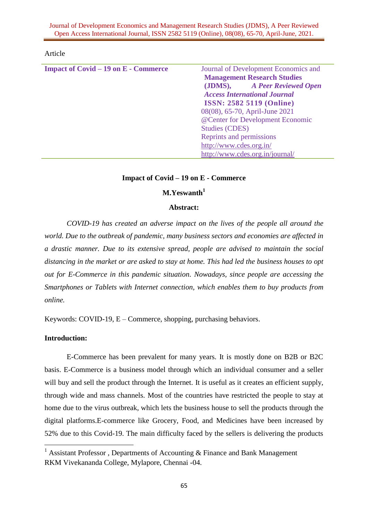Journal of Development Economics and Management Research Studies (JDMS), A Peer Reviewed Open Access International Journal, ISSN 2582 5119 (Online), 08(08), 65-70, April-June, 2021.

### Article

| <b>Impact of Covid – 19 on E - Commerce</b> | Journal of Development Economics and<br><b>Management Research Studies</b> |  |  |
|---------------------------------------------|----------------------------------------------------------------------------|--|--|
|                                             |                                                                            |  |  |
|                                             | (JDMS), A Peer Reviewed Open                                               |  |  |
|                                             | <b>Access International Journal</b>                                        |  |  |
|                                             | <b>ISSN: 2582 5119 (Online)</b><br>08(08), 65-70, April-June 2021          |  |  |
|                                             |                                                                            |  |  |
|                                             | @Center for Development Economic<br><b>Studies (CDES)</b>                  |  |  |
|                                             |                                                                            |  |  |
|                                             | Reprints and permissions                                                   |  |  |
|                                             | http://www.cdes.org.in/                                                    |  |  |
|                                             | http://www.cdes.org.in/journal/                                            |  |  |
|                                             |                                                                            |  |  |

### **Impact of Covid – 19 on E - Commerce**

# **M.Yeswanth<sup>1</sup>**

# **Abstract:**

*COVID-19 has created an adverse impact on the lives of the people all around the world. Due to the outbreak of pandemic, many business sectors and economies are affected in a drastic manner. Due to its extensive spread, people are advised to maintain the social distancing in the market or are asked to stay at home. This had led the business houses to opt out for E-Commerce in this pandemic situation. Nowadays, since people are accessing the Smartphones or Tablets with Internet connection, which enables them to buy products from online.*

Keywords: COVID-19, E – Commerce, shopping, purchasing behaviors.

# **Introduction:**

1

E-Commerce has been prevalent for many years. It is mostly done on B2B or B2C basis. E-Commerce is a business model through which an individual consumer and a seller will buy and sell the product through the Internet. It is useful as it creates an efficient supply, through wide and mass channels. Most of the countries have restricted the people to stay at home due to the virus outbreak, which lets the business house to sell the products through the digital platforms.E-commerce like Grocery, Food, and Medicines have been increased by 52% due to this Covid-19. The main difficulty faced by the sellers is delivering the products

<sup>&</sup>lt;sup>1</sup> Assistant Professor, Departments of Accounting  $\&$  Finance and Bank Management RKM Vivekananda College, Mylapore, Chennai -04.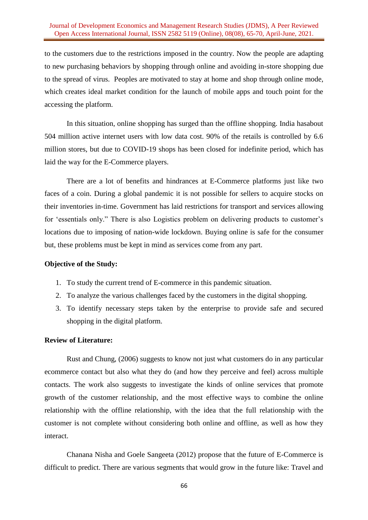### Journal of Development Economics and Management Research Studies (JDMS), A Peer Reviewed Open Access International Journal, ISSN 2582 5119 (Online), 08(08), 65-70, April-June, 2021.

to the customers due to the restrictions imposed in the country. Now the people are adapting to new purchasing behaviors by shopping through online and avoiding in-store shopping due to the spread of virus. Peoples are motivated to stay at home and shop through online mode, which creates ideal market condition for the launch of mobile apps and touch point for the accessing the platform.

In this situation, online shopping has surged than the offline shopping. India hasabout 504 million active internet users with low data cost. 90% of the retails is controlled by 6.6 million stores, but due to COVID-19 shops has been closed for indefinite period, which has laid the way for the E-Commerce players.

There are a lot of benefits and hindrances at E-Commerce platforms just like two faces of a coin. During a global pandemic it is not possible for sellers to acquire stocks on their inventories in-time. Government has laid restrictions for transport and services allowing for 'essentials only." There is also Logistics problem on delivering products to customer's locations due to imposing of nation-wide lockdown. Buying online is safe for the consumer but, these problems must be kept in mind as services come from any part.

### **Objective of the Study:**

- 1. To study the current trend of E-commerce in this pandemic situation.
- 2. To analyze the various challenges faced by the customers in the digital shopping.
- 3. To identify necessary steps taken by the enterprise to provide safe and secured shopping in the digital platform.

#### **Review of Literature:**

Rust and Chung, (2006) suggests to know not just what customers do in any particular ecommerce contact but also what they do (and how they perceive and feel) across multiple contacts. The work also suggests to investigate the kinds of online services that promote growth of the customer relationship, and the most effective ways to combine the online relationship with the offline relationship, with the idea that the full relationship with the customer is not complete without considering both online and offline, as well as how they interact.

Chanana Nisha and Goele Sangeeta (2012) propose that the future of E-Commerce is difficult to predict. There are various segments that would grow in the future like: Travel and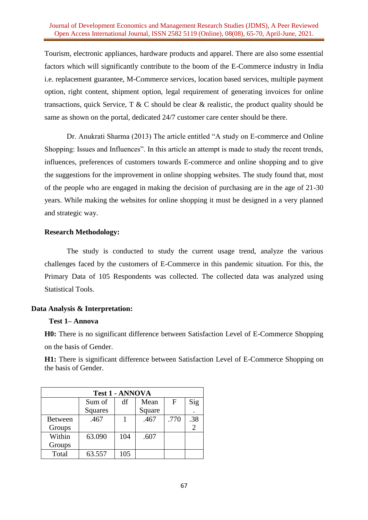### Journal of Development Economics and Management Research Studies (JDMS), A Peer Reviewed Open Access International Journal, ISSN 2582 5119 (Online), 08(08), 65-70, April-June, 2021.

Tourism, electronic appliances, hardware products and apparel. There are also some essential factors which will significantly contribute to the boom of the E-Commerce industry in India i.e. replacement guarantee, M-Commerce services, location based services, multiple payment option, right content, shipment option, legal requirement of generating invoices for online transactions, quick Service,  $T \& C$  should be clear  $\&$  realistic, the product quality should be same as shown on the portal, dedicated 24/7 customer care center should be there.

Dr. Anukrati Sharma (2013) The article entitled "A study on E-commerce and Online Shopping: Issues and Influences". In this article an attempt is made to study the recent trends, influences, preferences of customers towards E-commerce and online shopping and to give the suggestions for the improvement in online shopping websites. The study found that, most of the people who are engaged in making the decision of purchasing are in the age of 21-30 years. While making the websites for online shopping it must be designed in a very planned and strategic way.

### **Research Methodology:**

The study is conducted to study the current usage trend, analyze the various challenges faced by the customers of E-Commerce in this pandemic situation. For this, the Primary Data of 105 Respondents was collected. The collected data was analyzed using Statistical Tools.

## **Data Analysis & Interpretation:**

### **Test 1– Annova**

**H0:** There is no significant difference between Satisfaction Level of E-Commerce Shopping on the basis of Gender.

**H1:** There is significant difference between Satisfaction Level of E-Commerce Shopping on the basis of Gender.

| <b>Test 1 - ANNOVA</b> |                |     |        |             |                |  |  |  |
|------------------------|----------------|-----|--------|-------------|----------------|--|--|--|
|                        | Sum of         | df  | Mean   | $\mathbf F$ | Sig            |  |  |  |
|                        | <b>Squares</b> |     | Square |             |                |  |  |  |
| <b>Between</b>         | .467           |     | .467   | .770        | .38            |  |  |  |
| Groups                 |                |     |        |             | $\mathfrak{D}$ |  |  |  |
| Within                 | 63.090         | 104 | .607   |             |                |  |  |  |
| Groups                 |                |     |        |             |                |  |  |  |
| Total                  | 63.557         | 105 |        |             |                |  |  |  |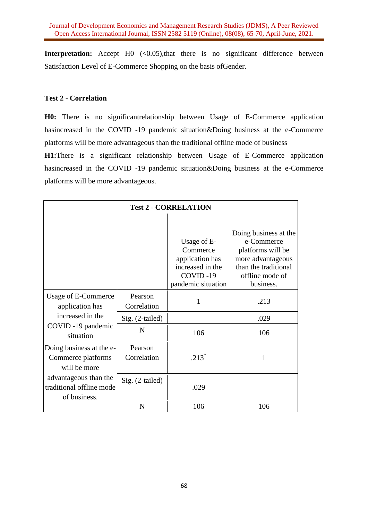**Interpretation:** Accept H0 (<0.05),that there is no significant difference between Satisfaction Level of E-Commerce Shopping on the basis ofGender.

## **Test 2 - Correlation**

**H0:** There is no significantrelationship between Usage of E-Commerce application hasincreased in the COVID -19 pandemic situation&Doing business at the e-Commerce platforms will be more advantageous than the traditional offline mode of business

**H1:**There is a significant relationship between Usage of E-Commerce application hasincreased in the COVID -19 pandemic situation&Doing business at the e-Commerce platforms will be more advantageous.

| <b>Test 2 - CORRELATION</b>                                                                   |                        |                                                                                                  |                                                                                                                                       |  |  |  |
|-----------------------------------------------------------------------------------------------|------------------------|--------------------------------------------------------------------------------------------------|---------------------------------------------------------------------------------------------------------------------------------------|--|--|--|
|                                                                                               |                        | Usage of E-<br>Commerce<br>application has<br>increased in the<br>COVID-19<br>pandemic situation | Doing business at the<br>e-Commerce<br>platforms will be<br>more advantageous<br>than the traditional<br>offline mode of<br>business. |  |  |  |
| Usage of E-Commerce<br>application has<br>increased in the<br>COVID -19 pandemic<br>situation | Pearson<br>Correlation | 1                                                                                                | .213                                                                                                                                  |  |  |  |
|                                                                                               | Sig. (2-tailed)        |                                                                                                  | .029                                                                                                                                  |  |  |  |
|                                                                                               | N                      | 106                                                                                              | 106                                                                                                                                   |  |  |  |
| Doing business at the e-<br>Commerce platforms<br>will be more                                | Pearson<br>Correlation | $.213*$                                                                                          | 1                                                                                                                                     |  |  |  |
| advantageous than the<br>traditional offline mode<br>of business.                             | Sig. (2-tailed)        | .029                                                                                             |                                                                                                                                       |  |  |  |
|                                                                                               | N                      | 106                                                                                              | 106                                                                                                                                   |  |  |  |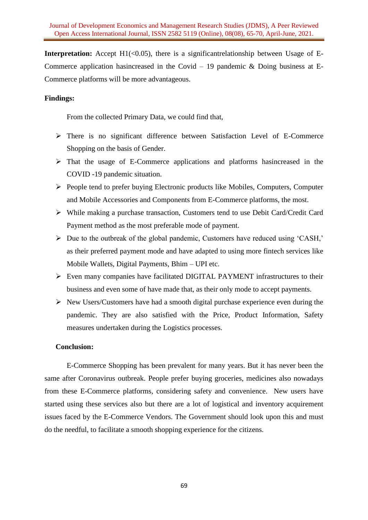**Interpretation:** Accept  $H1(\leq 0.05)$ , there is a significantrelationship between Usage of E-Commerce application has increased in the Covid – 19 pandemic  $\&$  Doing business at E-Commerce platforms will be more advantageous.

# **Findings:**

From the collected Primary Data, we could find that,

- There is no significant difference between Satisfaction Level of E-Commerce Shopping on the basis of Gender.
- $\triangleright$  That the usage of E-Commerce applications and platforms has increased in the COVID -19 pandemic situation.
- $\triangleright$  People tend to prefer buying Electronic products like Mobiles, Computers, Computer and Mobile Accessories and Components from E-Commerce platforms, the most.
- While making a purchase transaction, Customers tend to use Debit Card/Credit Card Payment method as the most preferable mode of payment.
- Due to the outbreak of the global pandemic, Customers have reduced using 'CASH,' as their preferred payment mode and have adapted to using more fintech services like Mobile Wallets, Digital Payments, Bhim – UPI etc.
- Even many companies have facilitated DIGITAL PAYMENT infrastructures to their business and even some of have made that, as their only mode to accept payments.
- $\triangleright$  New Users/Customers have had a smooth digital purchase experience even during the pandemic. They are also satisfied with the Price, Product Information, Safety measures undertaken during the Logistics processes.

### **Conclusion:**

E-Commerce Shopping has been prevalent for many years. But it has never been the same after Coronavirus outbreak. People prefer buying groceries, medicines also nowadays from these E-Commerce platforms, considering safety and convenience. New users have started using these services also but there are a lot of logistical and inventory acquirement issues faced by the E-Commerce Vendors. The Government should look upon this and must do the needful, to facilitate a smooth shopping experience for the citizens.